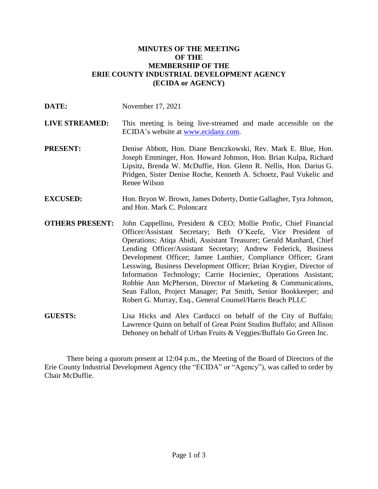## **MINUTES OF THE MEETING OF THE MEMBERSHIP OF THE ERIE COUNTY INDUSTRIAL DEVELOPMENT AGENCY (ECIDA or AGENCY)**

| DATE:                  | November 17, 2021                                                                                                                                                                                                                                                                                                                                                                                                                                                                                                                                                                                                                                                                     |
|------------------------|---------------------------------------------------------------------------------------------------------------------------------------------------------------------------------------------------------------------------------------------------------------------------------------------------------------------------------------------------------------------------------------------------------------------------------------------------------------------------------------------------------------------------------------------------------------------------------------------------------------------------------------------------------------------------------------|
| <b>LIVE STREAMED:</b>  | This meeting is being live-streamed and made accessible on the<br>ECIDA's website at <u>www.ecidany.com</u> .                                                                                                                                                                                                                                                                                                                                                                                                                                                                                                                                                                         |
| <b>PRESENT:</b>        | Denise Abbott, Hon. Diane Benczkowski, Rev. Mark E. Blue, Hon.<br>Joseph Emminger, Hon. Howard Johnson, Hon. Brian Kulpa, Richard<br>Lipsitz, Brenda W. McDuffie, Hon. Glenn R. Nellis, Hon. Darius G.<br>Pridgen, Sister Denise Roche, Kenneth A. Schoetz, Paul Vukelic and<br>Renee Wilson                                                                                                                                                                                                                                                                                                                                                                                          |
| <b>EXCUSED:</b>        | Hon. Bryon W. Brown, James Doherty, Dottie Gallagher, Tyra Johnson,<br>and Hon. Mark C. Poloncarz                                                                                                                                                                                                                                                                                                                                                                                                                                                                                                                                                                                     |
| <b>OTHERS PRESENT:</b> | John Cappellino, President & CEO; Mollie Profic, Chief Financial<br>Officer/Assistant Secretary; Beth O'Keefe, Vice President of<br>Operations; Atiqa Abidi, Assistant Treasurer; Gerald Manhard, Chief<br>Lending Officer/Assistant Secretary; Andrew Federick, Business<br>Development Officer; Jamee Lanthier, Compliance Officer; Grant<br>Lesswing, Business Development Officer; Brian Krygier, Director of<br>Information Technology; Carrie Hocieniec, Operations Assistant;<br>Robbie Ann McPherson, Director of Marketing & Communications,<br>Sean Fallon, Project Manager; Pat Smith, Senior Bookkeeper; and<br>Robert G. Murray, Esq., General Counsel/Harris Beach PLLC |
| <b>GUESTS:</b>         | Lisa Hicks and Alex Carducci on behalf of the City of Buffalo;<br>Lawrence Quinn on behalf of Great Point Studios Buffalo; and Allison                                                                                                                                                                                                                                                                                                                                                                                                                                                                                                                                                |

There being a quorum present at 12:04 p.m., the Meeting of the Board of Directors of the Erie County Industrial Development Agency (the "ECIDA" or "Agency"), was called to order by Chair McDuffie.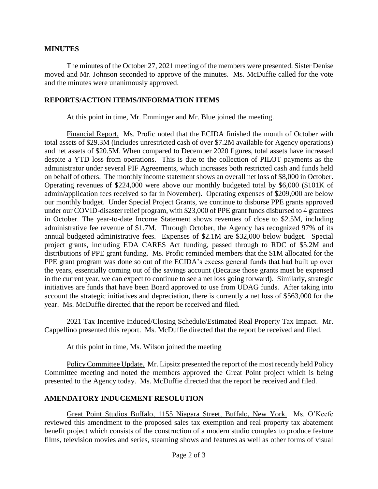## **MINUTES**

The minutes of the October 27, 2021 meeting of the members were presented. Sister Denise moved and Mr. Johnson seconded to approve of the minutes. Ms. McDuffie called for the vote and the minutes were unanimously approved.

## **REPORTS/ACTION ITEMS/INFORMATION ITEMS**

At this point in time, Mr. Emminger and Mr. Blue joined the meeting.

Financial Report. Ms. Profic noted that the ECIDA finished the month of October with total assets of \$29.3M (includes unrestricted cash of over \$7.2M available for Agency operations) and net assets of \$20.5M. When compared to December 2020 figures, total assets have increased despite a YTD loss from operations. This is due to the collection of PILOT payments as the administrator under several PIF Agreements, which increases both restricted cash and funds held on behalf of others. The monthly income statement shows an overall net loss of \$8,000 in October. Operating revenues of \$224,000 were above our monthly budgeted total by \$6,000 (\$101K of admin/application fees received so far in November). Operating expenses of \$209,000 are below our monthly budget. Under Special Project Grants, we continue to disburse PPE grants approved under our COVID-disaster relief program, with \$23,000 of PPE grant funds disbursed to 4 grantees in October. The year-to-date Income Statement shows revenues of close to \$2.5M, including administrative fee revenue of \$1.7M. Through October, the Agency has recognized 97% of its annual budgeted administrative fees. Expenses of \$2.1M are \$32,000 below budget. Special project grants, including EDA CARES Act funding, passed through to RDC of \$5.2M and distributions of PPE grant funding. Ms. Profic reminded members that the \$1M allocated for the PPE grant program was done so out of the ECIDA's excess general funds that had built up over the years, essentially coming out of the savings account (Because those grants must be expensed in the current year, we can expect to continue to see a net loss going forward). Similarly, strategic initiatives are funds that have been Board approved to use from UDAG funds. After taking into account the strategic initiatives and depreciation, there is currently a net loss of \$563,000 for the year. Ms. McDuffie directed that the report be received and filed.

2021 Tax Incentive Induced/Closing Schedule/Estimated Real Property Tax Impact. Mr. Cappellino presented this report. Ms. McDuffie directed that the report be received and filed.

At this point in time, Ms. Wilson joined the meeting

Policy Committee Update. Mr. Lipsitz presented the report of the most recently held Policy Committee meeting and noted the members approved the Great Point project which is being presented to the Agency today. Ms. McDuffie directed that the report be received and filed.

# **AMENDATORY INDUCEMENT RESOLUTION**

Great Point Studios Buffalo, 1155 Niagara Street, Buffalo, New York. Ms. O'Keefe reviewed this amendment to the proposed sales tax exemption and real property tax abatement benefit project which consists of the construction of a modern studio complex to produce feature films, television movies and series, steaming shows and features as well as other forms of visual